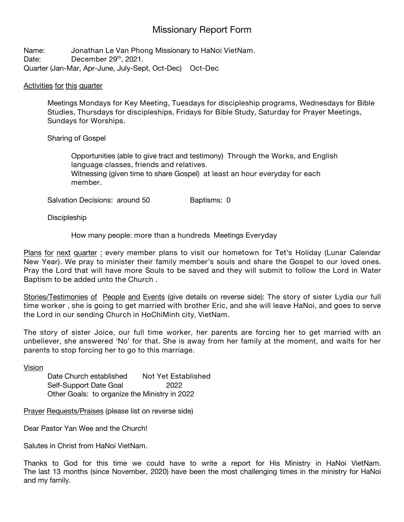## Missionary Report Form

Name: **Jonathan Le Van Phong** Missionary to **HaNoi VietNam**. Date: **December 29 th , 2021.** Quarter (Jan-Mar, Apr-June, July-Sept, Oct-Dec) **Oct-Dec**

## Activities for this quarter

Meetings **Mondays for Key Meeting, Tuesdays for discipleship programs, Wednesdays for Bible Studies, Thursdays for discipleships, Fridays for Bible Study, Saturday for Prayer Meetings, Sundays for Worships.**

## Sharing of Gospel

Opportunities (able to give tract and testimony) **Through the Works, and English language classes, friends and relatives.** Witnessing (given time to share Gospel) **at least an hour everyday for each member.**

Salvation Decisions: around 50 Baptisms: 0

**Discipleship** 

How many people: **more than a hundreds** Meetings **Everyday**

Plans for next quarter : **every member plans to visit our hometown for Tet's Holiday (Lunar Calendar New Year). We pray to ministertheir family member's souls and share the Gospel to our loved ones.** Pray the Lord that will have more Souls to be saved and they will submit to follow the Lord in Water **Baptism to be added unto the Church .**

Stories/Testimonies of People and Events (give details on reverse side): **The story of sister Lydia our full** time worker, she is going to get married with brother Eric, and she will leave HaNoi, and goes to serve **the Lord in our sending Church in HoChiMinh city, VietNam.**

The story of sister Joice, our full time worker, her parents are forcing her to get married with an unbeliever, she answered 'No' for that. She is away from her family at the moment, and waits for her **parents to stop forcing her to go to this marriage.**

Vision

Date Church established **Not Yet Established** Self-Support Date Goal **2022** Other Goals: to organize the Ministry in 2022

Prayer Requests/Praises (please list on reverse side)

Dear Pastor Yan Wee and the Church!

Salutes in Christ from HaNoi VietNam.

Thanks to God for this time we could have to write a report for His Ministry in HaNoi VietNam. The last 13 months (since November, 2020) have been the most challenging times in the ministry for HaNoi and my family.